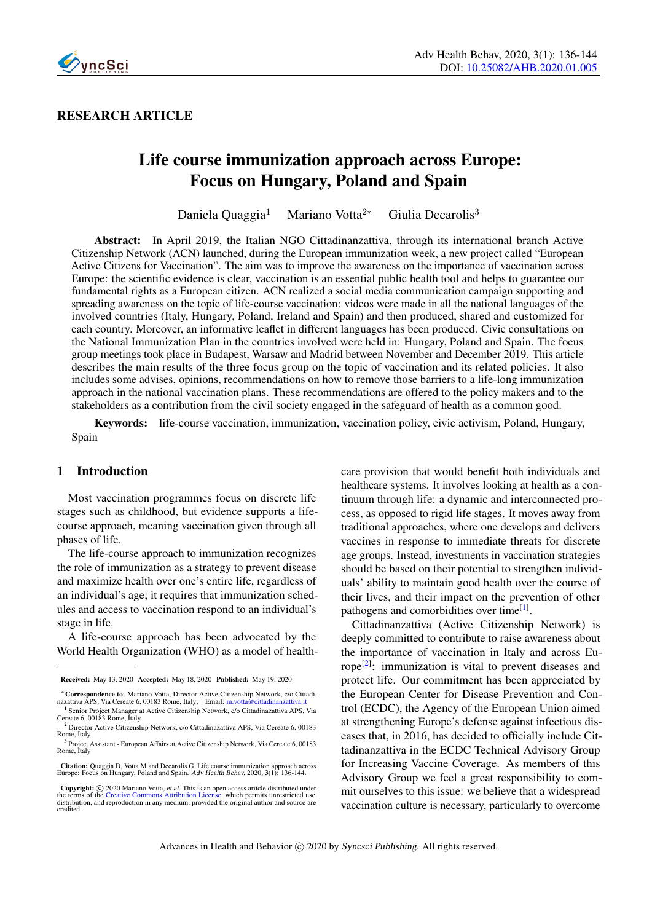

### RESEARCH ARTICLE

# Life course immunization approach across Europe: Focus on Hungary, Poland and Spain

Daniela Quaggia<sup>1</sup> Mariano Votta<sup>2∗</sup> Giulia Decarolis<sup>3</sup>

Abstract: In April 2019, the Italian NGO Cittadinanzattiva, through its international branch Active Citizenship Network (ACN) launched, during the European immunization week, a new project called "European Active Citizens for Vaccination". The aim was to improve the awareness on the importance of vaccination across Europe: the scientific evidence is clear, vaccination is an essential public health tool and helps to guarantee our fundamental rights as a European citizen. ACN realized a social media communication campaign supporting and spreading awareness on the topic of life-course vaccination: videos were made in all the national languages of the involved countries (Italy, Hungary, Poland, Ireland and Spain) and then produced, shared and customized for each country. Moreover, an informative leaflet in different languages has been produced. Civic consultations on the National Immunization Plan in the countries involved were held in: Hungary, Poland and Spain. The focus group meetings took place in Budapest, Warsaw and Madrid between November and December 2019. This article describes the main results of the three focus group on the topic of vaccination and its related policies. It also includes some advises, opinions, recommendations on how to remove those barriers to a life-long immunization approach in the national vaccination plans. These recommendations are offered to the policy makers and to the stakeholders as a contribution from the civil society engaged in the safeguard of health as a common good.

Keywords: life-course vaccination, immunization, vaccination policy, civic activism, Poland, Hungary, Spain

#### 1 Introduction

Most vaccination programmes focus on discrete life stages such as childhood, but evidence supports a lifecourse approach, meaning vaccination given through all phases of life.

The life-course approach to immunization recognizes the role of immunization as a strategy to prevent disease and maximize health over one's entire life, regardless of an individual's age; it requires that immunization schedules and access to vaccination respond to an individual's stage in life.

A life-course approach has been advocated by the World Health Organization (WHO) as a model of healthcare provision that would benefit both individuals and healthcare systems. It involves looking at health as a continuum through life: a dynamic and interconnected process, as opposed to rigid life stages. It moves away from traditional approaches, where one develops and delivers vaccines in response to immediate threats for discrete age groups. Instead, investments in vaccination strategies should be based on their potential to strengthen individuals' ability to maintain good health over the course of their lives, and their impact on the prevention of other pathogens and comorbidities over time<sup>[\[1\]](#page-7-0)</sup>.

Cittadinanzattiva (Active Citizenship Network) is deeply committed to contribute to raise awareness about the importance of vaccination in Italy and across Eu-rope<sup>[\[2\]](#page-8-0)</sup>: immunization is vital to prevent diseases and protect life. Our commitment has been appreciated by the European Center for Disease Prevention and Control (ECDC), the Agency of the European Union aimed at strengthening Europe's defense against infectious diseases that, in 2016, has decided to officially include Cittadinanzattiva in the ECDC Technical Advisory Group for Increasing Vaccine Coverage. As members of this Advisory Group we feel a great responsibility to commit ourselves to this issue: we believe that a widespread vaccination culture is necessary, particularly to overcome

Received: May 13, 2020 Accepted: May 18, 2020 Published: May 19, 2020

<sup>∗</sup>Correspondence to: Mariano Votta, Director Active Citizenship Network, c/o Cittadi-nazattiva APS, Via Cereate 6, 00183 Rome, Italy; Email: <m.votta@cittadinanzattiva.it> 1 Senior Project Manager at Active Citizenship Network, c/o Cittadinazattiva APS, Via Cereate 6, 00183 Rome, Italy

<sup>2</sup> Director Active Citizenship Network, c/o Cittadinazattiva APS, Via Cereate 6, 00183 Rome, Italy

<sup>&</sup>lt;sup>3</sup> Project Assistant - European Affairs at Active Citizenship Network, Via Cereate 6, 00183 Rome, Italy

Citation: Quaggia D, Votta M and Decarolis G. Life course immunization approach across Europe: Focus on Hungary, Poland and Spain. Adv Health Behav, 2020, 3(1): 136-144.

**Copyright:**  $\odot$  2020 Mariano Votta, *et al.* This is an open access article distributed under the terms of the Creative Commons Attributed Liberation License, which permits unrestricted use, distribution, and reproduct credited.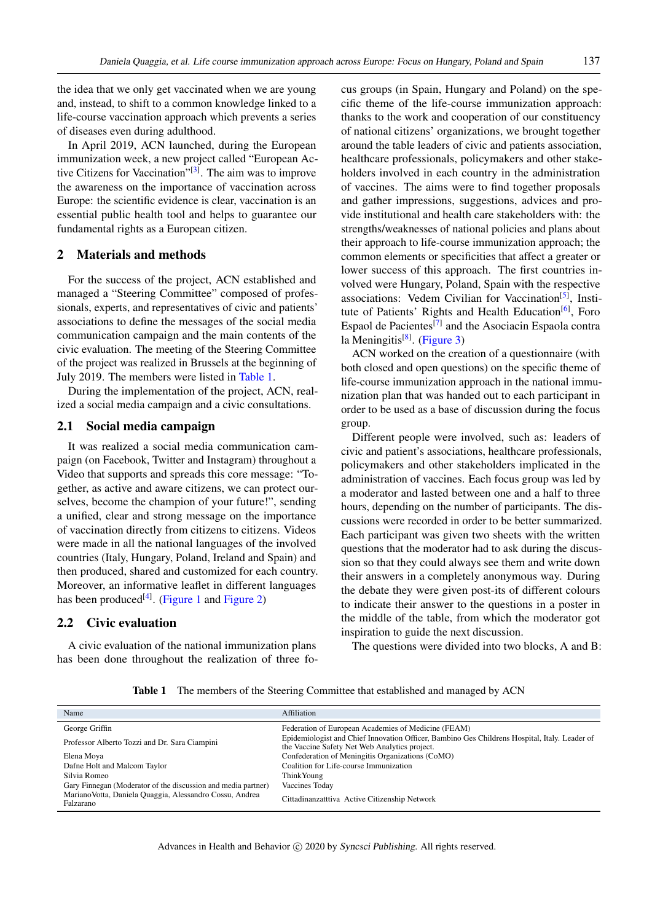the idea that we only get vaccinated when we are young and, instead, to shift to a common knowledge linked to a life-course vaccination approach which prevents a series of diseases even during adulthood.

In April 2019, ACN launched, during the European immunization week, a new project called "European Ac-tive Citizens for Vaccination"<sup>[\[3\]](#page-8-1)</sup>. The aim was to improve the awareness on the importance of vaccination across Europe: the scientific evidence is clear, vaccination is an essential public health tool and helps to guarantee our fundamental rights as a European citizen.

#### 2 Materials and methods

For the success of the project, ACN established and managed a "Steering Committee" composed of professionals, experts, and representatives of civic and patients' associations to define the messages of the social media communication campaign and the main contents of the civic evaluation. The meeting of the Steering Committee of the project was realized in Brussels at the beginning of July 2019. The members were listed in [Table 1.](#page-1-0)

During the implementation of the project, ACN, realized a social media campaign and a civic consultations.

#### 2.1 Social media campaign

It was realized a social media communication campaign (on Facebook, Twitter and Instagram) throughout a Video that supports and spreads this core message: "Together, as active and aware citizens, we can protect ourselves, become the champion of your future!", sending a unified, clear and strong message on the importance of vaccination directly from citizens to citizens. Videos were made in all the national languages of the involved countries (Italy, Hungary, Poland, Ireland and Spain) and then produced, shared and customized for each country. Moreover, an informative leaflet in different languages has been produced<sup>[\[4\]](#page-8-2)</sup>. [\(Figure 1](#page-2-0) and Figure 2)

#### 2.2 Civic evaluation

A civic evaluation of the national immunization plans has been done throughout the realization of three focus groups (in Spain, Hungary and Poland) on the specific theme of the life-course immunization approach: thanks to the work and cooperation of our constituency of national citizens' organizations, we brought together around the table leaders of civic and patients association, healthcare professionals, policymakers and other stakeholders involved in each country in the administration of vaccines. The aims were to find together proposals and gather impressions, suggestions, advices and provide institutional and health care stakeholders with: the strengths/weaknesses of national policies and plans about their approach to life-course immunization approach; the common elements or specificities that affect a greater or lower success of this approach. The first countries involved were Hungary, Poland, Spain with the respective associations: Vedem Civilian for Vaccination<sup>[\[5\]](#page-8-3)</sup>, Insti-tute of Patients' Rights and Health Education<sup>[\[6\]](#page-8-4)</sup>, Foro Espaol de Pacientes<sup>[\[7\]](#page-8-5)</sup> and the Asociacin Espaola contra la Meningitis<sup>[\[8\]](#page-8-6)</sup>. (Figure 3)

ACN worked on the creation of a questionnaire (with both closed and open questions) on the specific theme of life-course immunization approach in the national immunization plan that was handed out to each participant in order to be used as a base of discussion during the focus group.

Different people were involved, such as: leaders of civic and patient's associations, healthcare professionals, policymakers and other stakeholders implicated in the administration of vaccines. Each focus group was led by a moderator and lasted between one and a half to three hours, depending on the number of participants. The discussions were recorded in order to be better summarized. Each participant was given two sheets with the written questions that the moderator had to ask during the discussion so that they could always see them and write down their answers in a completely anonymous way. During the debate they were given post-its of different colours to indicate their answer to the questions in a poster in the middle of the table, from which the moderator got inspiration to guide the next discussion.

The questions were divided into two blocks, A and B:

Table 1 The members of the Steering Committee that established and managed by ACN

<span id="page-1-0"></span>

| Name                                                                  | Affiliation                                                                                                                                    |
|-----------------------------------------------------------------------|------------------------------------------------------------------------------------------------------------------------------------------------|
| George Griffin                                                        | Federation of European Academies of Medicine (FEAM)                                                                                            |
| Professor Alberto Tozzi and Dr. Sara Ciampini                         | Epidemiologist and Chief Innovation Officer, Bambino Ges Childrens Hospital, Italy. Leader of<br>the Vaccine Safety Net Web Analytics project. |
| Elena Moya                                                            | Confederation of Meningitis Organizations (CoMO)                                                                                               |
| Dafne Holt and Malcom Taylor                                          | Coalition for Life-course Immunization                                                                                                         |
| Silvia Romeo                                                          | Think Young                                                                                                                                    |
| Gary Finnegan (Moderator of the discussion and media partner)         | Vaccines Today                                                                                                                                 |
| Mariano Votta, Daniela Quaggia, Alessandro Cossu, Andrea<br>Falzarano | Cittadinanzatttiva Active Citizenship Network                                                                                                  |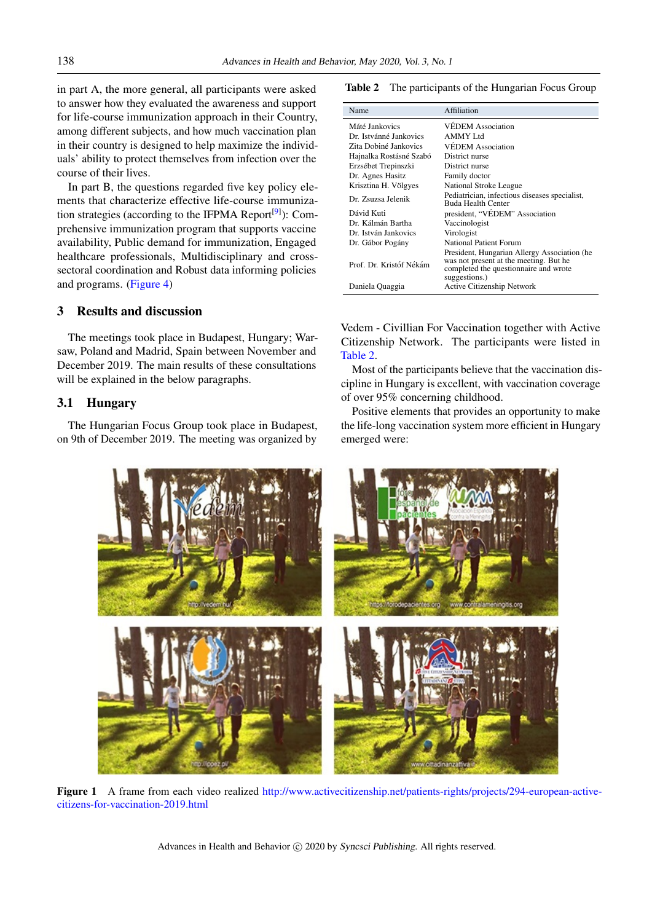in part A, the more general, all participants were asked to answer how they evaluated the awareness and support for life-course immunization approach in their Country, among different subjects, and how much vaccination plan in their country is designed to help maximize the individuals' ability to protect themselves from infection over the course of their lives.

In part B, the questions regarded five key policy elements that characterize effective life-course immuniza-tion strategies (according to the IFPMA Report<sup>[\[9\]](#page-8-7)</sup>): Comprehensive immunization program that supports vaccine availability, Public demand for immunization, Engaged healthcare professionals, Multidisciplinary and crosssectoral coordination and Robust data informing policies and programs. (Figure 4)

#### 3 Results and discussion

The meetings took place in Budapest, Hungary; Warsaw, Poland and Madrid, Spain between November and December 2019. The main results of these consultations will be explained in the below paragraphs.

#### 3.1 Hungary

The Hungarian Focus Group took place in Budapest, on 9th of December 2019. The meeting was organized by

<span id="page-2-1"></span>Table 2 The participants of the Hungarian Focus Group

| Name                    | Affiliation                                                                                                                                      |
|-------------------------|--------------------------------------------------------------------------------------------------------------------------------------------------|
| Máté Jankovics          | <b>VEDEM</b> Association                                                                                                                         |
| Dr. Istvánné Jankovics  | AMMY Ltd                                                                                                                                         |
| Zita Dobiné Jankovics   | <b>VÉDEM</b> Association                                                                                                                         |
| Hajnalka Rostásné Szabó | District nurse                                                                                                                                   |
| Erzsébet Trepinszki     | District nurse                                                                                                                                   |
| Dr. Agnes Hasitz        | Family doctor                                                                                                                                    |
| Krisztina H. Völgyes    | National Stroke League                                                                                                                           |
| Dr. Zsuzsa Jelenik      | Pediatrician, infectious diseases specialist,<br>Buda Health Center                                                                              |
| Dávid Kuti              | president, "VÉDEM" Association                                                                                                                   |
| Dr. Kálmán Bartha       | Vaccinologist                                                                                                                                    |
| Dr. István Jankovics    | Virologist                                                                                                                                       |
| Dr. Gábor Pogány        | National Patient Forum                                                                                                                           |
| Prof. Dr. Kristóf Nékám | President, Hungarian Allergy Association (he<br>was not present at the meeting. But he<br>completed the questionnaire and wrote<br>suggestions.) |
| Daniela Quaggia         | Active Citizenship Network                                                                                                                       |

Vedem - Civillian For Vaccination together with Active Citizenship Network. The participants were listed in [Table 2.](#page-2-1)

Most of the participants believe that the vaccination discipline in Hungary is excellent, with vaccination coverage of over 95% concerning childhood.

Positive elements that provides an opportunity to make the life-long vaccination system more efficient in Hungary emerged were:

<span id="page-2-0"></span>

Figure 1 A frame from each video realized [http://www.activecitizenship.net/patients-rights/projects/294-european-active](http://www.activecitizenship.net/patients-rights/projects/294-european-active-citizens-for-vaccination-2019.html)[citizens-for-vaccination-2019.html](http://www.activecitizenship.net/patients-rights/projects/294-european-active-citizens-for-vaccination-2019.html)

Advances in Health and Behavior (c) 2020 by Syncsci Publishing. All rights reserved.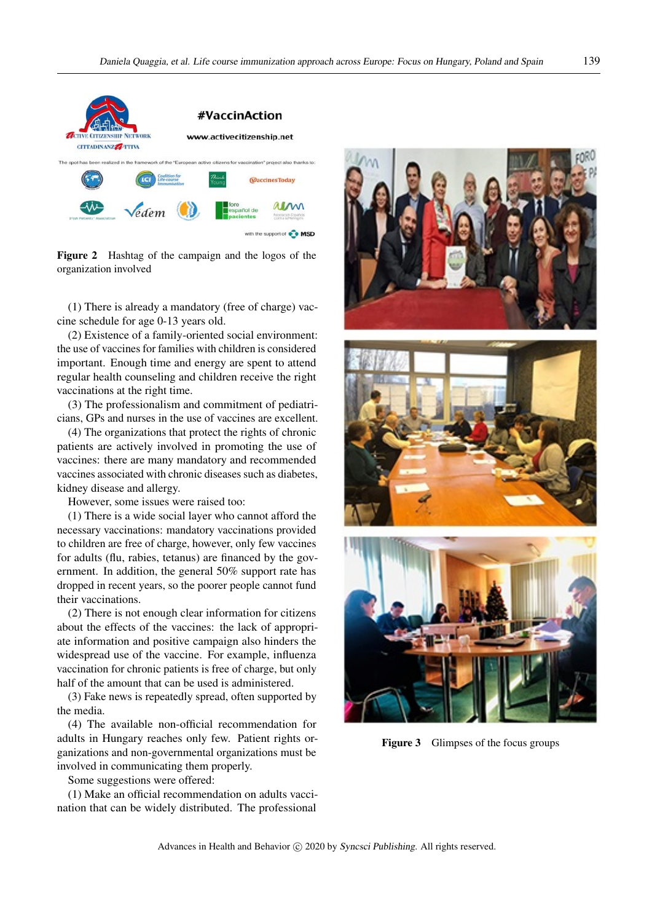

Figure 2 Hashtag of the campaign and the logos of the organization involved

(1) There is already a mandatory (free of charge) vaccine schedule for age 0-13 years old.

(2) Existence of a family-oriented social environment: the use of vaccines for families with children is considered important. Enough time and energy are spent to attend regular health counseling and children receive the right vaccinations at the right time.

(3) The professionalism and commitment of pediatricians, GPs and nurses in the use of vaccines are excellent.

(4) The organizations that protect the rights of chronic patients are actively involved in promoting the use of vaccines: there are many mandatory and recommended vaccines associated with chronic diseases such as diabetes, kidney disease and allergy.

However, some issues were raised too:

(1) There is a wide social layer who cannot afford the necessary vaccinations: mandatory vaccinations provided to children are free of charge, however, only few vaccines for adults (flu, rabies, tetanus) are financed by the government. In addition, the general 50% support rate has dropped in recent years, so the poorer people cannot fund their vaccinations.

(2) There is not enough clear information for citizens about the effects of the vaccines: the lack of appropriate information and positive campaign also hinders the widespread use of the vaccine. For example, influenza vaccination for chronic patients is free of charge, but only half of the amount that can be used is administered.

(3) Fake news is repeatedly spread, often supported by the media.

(4) The available non-official recommendation for adults in Hungary reaches only few. Patient rights organizations and non-governmental organizations must be involved in communicating them properly.

Some suggestions were offered:

(1) Make an official recommendation on adults vaccination that can be widely distributed. The professional







Figure 3 Glimpses of the focus groups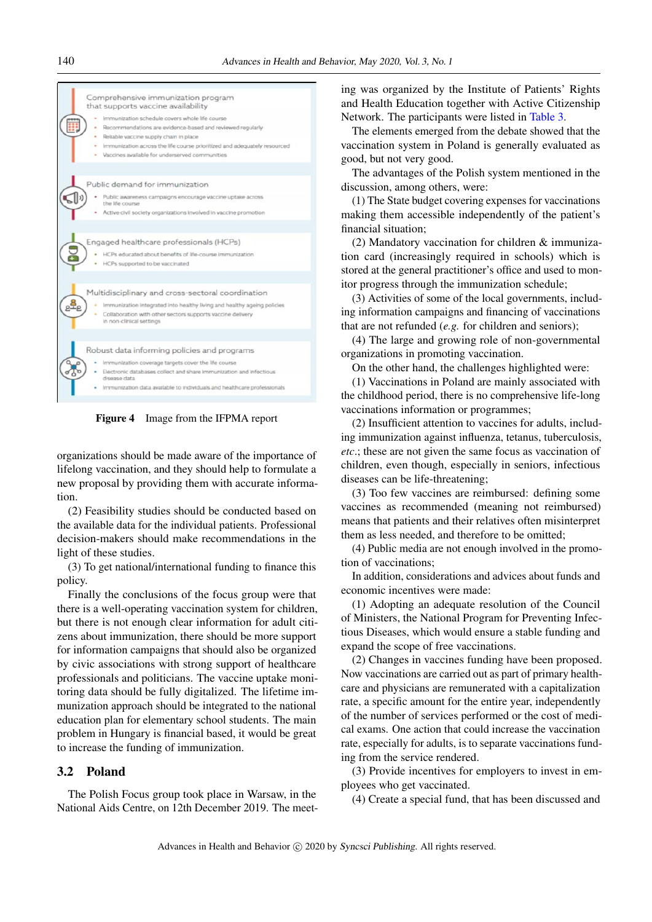



organizations should be made aware of the importance of lifelong vaccination, and they should help to formulate a new proposal by providing them with accurate information.

(2) Feasibility studies should be conducted based on the available data for the individual patients. Professional decision-makers should make recommendations in the light of these studies.

(3) To get national/international funding to finance this policy.

Finally the conclusions of the focus group were that there is a well-operating vaccination system for children, but there is not enough clear information for adult citizens about immunization, there should be more support for information campaigns that should also be organized by civic associations with strong support of healthcare professionals and politicians. The vaccine uptake monitoring data should be fully digitalized. The lifetime immunization approach should be integrated to the national education plan for elementary school students. The main problem in Hungary is financial based, it would be great to increase the funding of immunization.

#### 3.2 Poland

The Polish Focus group took place in Warsaw, in the National Aids Centre, on 12th December 2019. The meeting was organized by the Institute of Patients' Rights and Health Education together with Active Citizenship Network. The participants were listed in [Table 3.](#page-5-0)

The elements emerged from the debate showed that the vaccination system in Poland is generally evaluated as good, but not very good.

The advantages of the Polish system mentioned in the discussion, among others, were:

(1) The State budget covering expenses for vaccinations making them accessible independently of the patient's financial situation;

(2) Mandatory vaccination for children & immunization card (increasingly required in schools) which is stored at the general practitioner's office and used to monitor progress through the immunization schedule;

(3) Activities of some of the local governments, including information campaigns and financing of vaccinations that are not refunded (*e.g.* for children and seniors);

(4) The large and growing role of non-governmental organizations in promoting vaccination.

On the other hand, the challenges highlighted were:

(1) Vaccinations in Poland are mainly associated with the childhood period, there is no comprehensive life-long vaccinations information or programmes;

(2) Insufficient attention to vaccines for adults, including immunization against influenza, tetanus, tuberculosis, *etc*.; these are not given the same focus as vaccination of children, even though, especially in seniors, infectious diseases can be life-threatening;

(3) Too few vaccines are reimbursed: defining some vaccines as recommended (meaning not reimbursed) means that patients and their relatives often misinterpret them as less needed, and therefore to be omitted;

(4) Public media are not enough involved in the promotion of vaccinations;

In addition, considerations and advices about funds and economic incentives were made:

(1) Adopting an adequate resolution of the Council of Ministers, the National Program for Preventing Infectious Diseases, which would ensure a stable funding and expand the scope of free vaccinations.

(2) Changes in vaccines funding have been proposed. Now vaccinations are carried out as part of primary healthcare and physicians are remunerated with a capitalization rate, a specific amount for the entire year, independently of the number of services performed or the cost of medical exams. One action that could increase the vaccination rate, especially for adults, is to separate vaccinations funding from the service rendered.

(3) Provide incentives for employers to invest in employees who get vaccinated.

(4) Create a special fund, that has been discussed and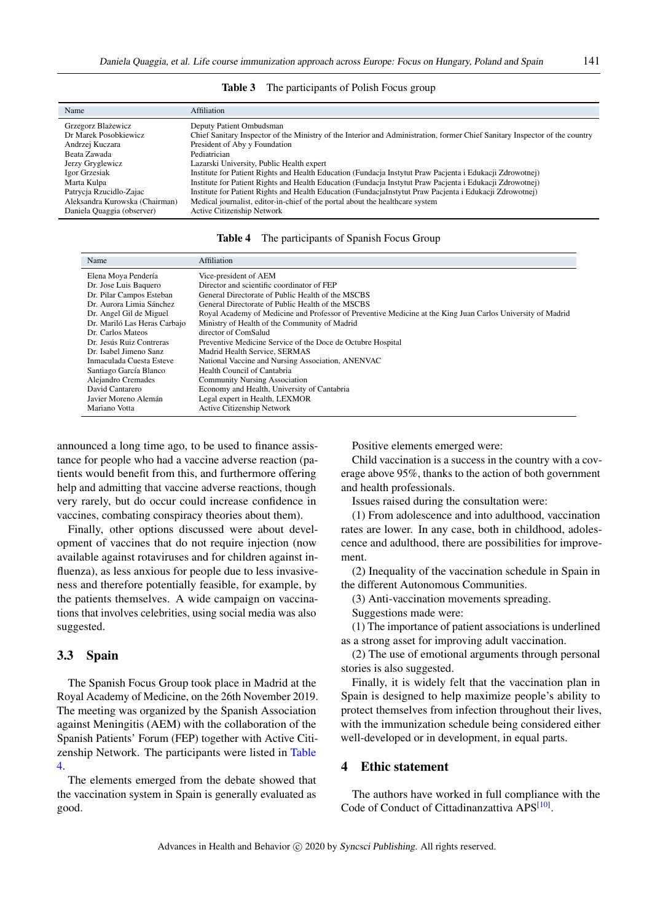<span id="page-5-0"></span>

| Name                           | Affiliation                                                                                                                 |
|--------------------------------|-----------------------------------------------------------------------------------------------------------------------------|
| Grzegorz Blażewicz             | Deputy Patient Ombudsman                                                                                                    |
| Dr Marek Posobkiewicz          | Chief Sanitary Inspector of the Ministry of the Interior and Administration, former Chief Sanitary Inspector of the country |
| Andrzej Kuczara                | President of Aby y Foundation                                                                                               |
| Beata Zawada                   | Pediatrician                                                                                                                |
| Jerzy Gryglewicz               | Lazarski University, Public Health expert                                                                                   |
| Igor Grzesiak                  | Institute for Patient Rights and Health Education (Fundacja Instytut Praw Pacjenta i Edukacji Zdrowotnej)                   |
| Marta Kulpa                    | Institute for Patient Rights and Health Education (Fundacja Instytut Praw Pacjenta i Edukacji Zdrowotnej)                   |
| Patrycja Rzucidlo-Zajac        | Institute for Patient Rights and Health Education (FundacjaInstytut Praw Pacjenta i Edukacji Zdrowotnej)                    |
| Aleksandra Kurowska (Chairman) | Medical journalist, editor-in-chief of the portal about the healthcare system                                               |
| Daniela Quaggia (observer)     | <b>Active Citizenship Network</b>                                                                                           |

Table 3 The participants of Polish Focus group

| Table 4<br>The participants of Spanish Focus Group |
|----------------------------------------------------|
|----------------------------------------------------|

<span id="page-5-1"></span>

| Name                         | Affiliation                                                                                                 |
|------------------------------|-------------------------------------------------------------------------------------------------------------|
| Elena Moya Pendería          | Vice-president of AEM                                                                                       |
| Dr. Jose Luis Baquero        | Director and scientific coordinator of FEP                                                                  |
| Dr. Pilar Campos Esteban     | General Directorate of Public Health of the MSCBS                                                           |
| Dr. Aurora Limia Sánchez     | General Directorate of Public Health of the MSCBS                                                           |
| Dr. Angel Gil de Miguel      | Royal Academy of Medicine and Professor of Preventive Medicine at the King Juan Carlos University of Madrid |
| Dr. Mariló Las Heras Carbajo | Ministry of Health of the Community of Madrid                                                               |
| Dr. Carlos Mateos            | director of ComSalud                                                                                        |
| Dr. Jesús Ruiz Contreras     | Preventive Medicine Service of the Doce de Octubre Hospital                                                 |
| Dr. Isabel Jimeno Sanz       | Madrid Health Service, SERMAS                                                                               |
| Inmaculada Cuesta Esteve     | National Vaccine and Nursing Association, ANENVAC                                                           |
| Santiago García Blanco       | Health Council of Cantabria                                                                                 |
| Alejandro Cremades           | <b>Community Nursing Association</b>                                                                        |
| David Cantarero              | Economy and Health, University of Cantabria                                                                 |
| Javier Moreno Alemán         | Legal expert in Health, LEXMOR                                                                              |
| Mariano Votta                | Active Citizenship Network                                                                                  |

announced a long time ago, to be used to finance assistance for people who had a vaccine adverse reaction (patients would benefit from this, and furthermore offering help and admitting that vaccine adverse reactions, though very rarely, but do occur could increase confidence in vaccines, combating conspiracy theories about them).

Finally, other options discussed were about development of vaccines that do not require injection (now available against rotaviruses and for children against influenza), as less anxious for people due to less invasiveness and therefore potentially feasible, for example, by the patients themselves. A wide campaign on vaccinations that involves celebrities, using social media was also suggested.

#### 3.3 Spain

The Spanish Focus Group took place in Madrid at the Royal Academy of Medicine, on the 26th November 2019. The meeting was organized by the Spanish Association against Meningitis (AEM) with the collaboration of the Spanish Patients' Forum (FEP) together with Active Citizenship Network. The participants were listed in [Table](#page-5-1) [4.](#page-5-1)

The elements emerged from the debate showed that the vaccination system in Spain is generally evaluated as good.

Positive elements emerged were:

Child vaccination is a success in the country with a coverage above 95%, thanks to the action of both government and health professionals.

Issues raised during the consultation were:

(1) From adolescence and into adulthood, vaccination rates are lower. In any case, both in childhood, adolescence and adulthood, there are possibilities for improvement.

(2) Inequality of the vaccination schedule in Spain in the different Autonomous Communities.

(3) Anti-vaccination movements spreading.

Suggestions made were:

(1) The importance of patient associations is underlined as a strong asset for improving adult vaccination.

(2) The use of emotional arguments through personal stories is also suggested.

Finally, it is widely felt that the vaccination plan in Spain is designed to help maximize people's ability to protect themselves from infection throughout their lives, with the immunization schedule being considered either well-developed or in development, in equal parts.

#### 4 Ethic statement

The authors have worked in full compliance with the Code of Conduct of Cittadinanzattiva APS<sup>[\[10\]](#page-8-8)</sup>.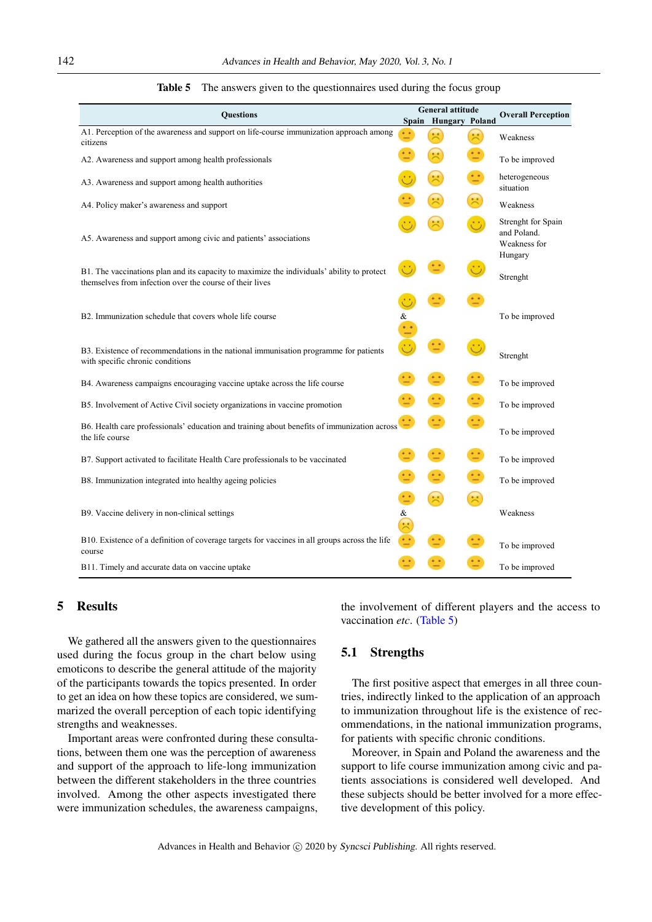<span id="page-6-0"></span>

| Advances in Health and Behavior, May 2020, Vol. 3, No. 1                                                                                               |                      |                                          |           |                                                              |  |  |  |  |  |
|--------------------------------------------------------------------------------------------------------------------------------------------------------|----------------------|------------------------------------------|-----------|--------------------------------------------------------------|--|--|--|--|--|
| The answers given to the questionnaires used during the focus group<br>Table 5                                                                         |                      |                                          |           |                                                              |  |  |  |  |  |
| <b>Questions</b>                                                                                                                                       |                      | General attitude<br>Spain Hungary Poland |           | <b>Overall Perception</b>                                    |  |  |  |  |  |
| A1. Perception of the awareness and support on life-course immunization approach among<br>citizens                                                     |                      | ×                                        | 冥         | Weakness                                                     |  |  |  |  |  |
| A2. Awareness and support among health professionals                                                                                                   |                      | 宋                                        |           | To be improved                                               |  |  |  |  |  |
| A3. Awareness and support among health authorities                                                                                                     |                      | 븟                                        |           | heterogeneous<br>situation                                   |  |  |  |  |  |
| A4. Policy maker's awareness and support                                                                                                               |                      | 宋                                        | 宋         | Weakness                                                     |  |  |  |  |  |
| A5. Awareness and support among civic and patients' associations                                                                                       |                      |                                          |           | Strenght for Spain<br>and Poland.<br>Weakness for<br>Hungary |  |  |  |  |  |
| B1. The vaccinations plan and its capacity to maximize the individuals' ability to protect<br>themselves from infection over the course of their lives |                      |                                          |           | Strenght                                                     |  |  |  |  |  |
| B2. Immunization schedule that covers whole life course                                                                                                | &                    |                                          |           | To be improved                                               |  |  |  |  |  |
| B3. Existence of recommendations in the national immunisation programme for patients<br>with specific chronic conditions                               |                      | 11                                       |           | Strenght                                                     |  |  |  |  |  |
| B4. Awareness campaigns encouraging vaccine uptake across the life course                                                                              |                      |                                          |           | To be improved                                               |  |  |  |  |  |
| B5. Involvement of Active Civil society organizations in vaccine promotion                                                                             |                      |                                          |           | To be improved                                               |  |  |  |  |  |
| B6. Health care professionals' education and training about benefits of immunization across<br>the life course                                         |                      | $\ddot{}$                                | $\cdot$ : | To be improved                                               |  |  |  |  |  |
| B7. Support activated to facilitate Health Care professionals to be vaccinated                                                                         |                      |                                          |           | To be improved                                               |  |  |  |  |  |
| B8. Immunization integrated into healthy ageing policies                                                                                               |                      |                                          |           | To be improved                                               |  |  |  |  |  |
| B9. Vaccine delivery in non-clinical settings                                                                                                          | &                    |                                          |           | Weakness                                                     |  |  |  |  |  |
| B10. Existence of a definition of coverage targets for vaccines in all groups across the life<br>course                                                | $\ddot{\phantom{a}}$ | $\dot{\phantom{a}}$                      |           | To be improved                                               |  |  |  |  |  |
| B11. Timely and accurate data on vaccine uptake                                                                                                        |                      |                                          |           | To be improved                                               |  |  |  |  |  |

#### Table 5 The answers given to the questionnaires used during the focus group

## 5 Results

We gathered all the answers given to the questionnaires used during the focus group in the chart below using emoticons to describe the general attitude of the majority of the participants towards the topics presented. In order to get an idea on how these topics are considered, we summarized the overall perception of each topic identifying strengths and weaknesses.

Important areas were confronted during these consultations, between them one was the perception of awareness and support of the approach to life-long immunization between the different stakeholders in the three countries involved. Among the other aspects investigated there were immunization schedules, the awareness campaigns, the involvement of different players and the access to vaccination *etc*. [\(Table 5\)](#page-6-0)

#### 5.1 Strengths

The first positive aspect that emerges in all three countries, indirectly linked to the application of an approach to immunization throughout life is the existence of recommendations, in the national immunization programs, for patients with specific chronic conditions.

Moreover, in Spain and Poland the awareness and the support to life course immunization among civic and patients associations is considered well developed. And these subjects should be better involved for a more effective development of this policy.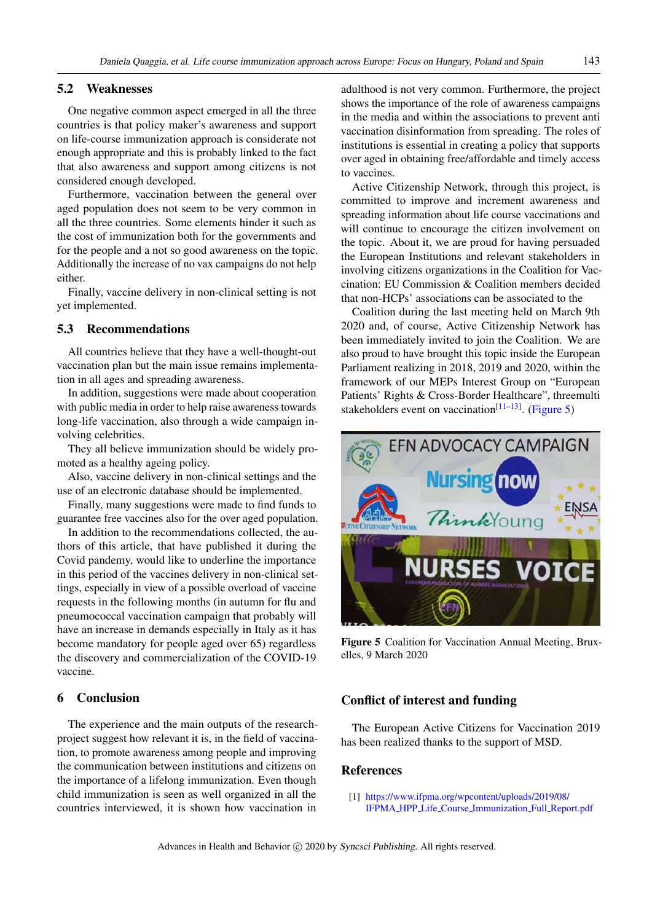#### 5.2 Weaknesses

One negative common aspect emerged in all the three countries is that policy maker's awareness and support on life-course immunization approach is considerate not enough appropriate and this is probably linked to the fact that also awareness and support among citizens is not considered enough developed.

Furthermore, vaccination between the general over aged population does not seem to be very common in all the three countries. Some elements hinder it such as the cost of immunization both for the governments and for the people and a not so good awareness on the topic. Additionally the increase of no vax campaigns do not help either.

Finally, vaccine delivery in non-clinical setting is not yet implemented.

#### 5.3 Recommendations

All countries believe that they have a well-thought-out vaccination plan but the main issue remains implementation in all ages and spreading awareness.

In addition, suggestions were made about cooperation with public media in order to help raise awareness towards long-life vaccination, also through a wide campaign involving celebrities.

They all believe immunization should be widely promoted as a healthy ageing policy.

Also, vaccine delivery in non-clinical settings and the use of an electronic database should be implemented.

Finally, many suggestions were made to find funds to guarantee free vaccines also for the over aged population.

In addition to the recommendations collected, the authors of this article, that have published it during the Covid pandemy, would like to underline the importance in this period of the vaccines delivery in non-clinical settings, especially in view of a possible overload of vaccine requests in the following months (in autumn for flu and pneumococcal vaccination campaign that probably will have an increase in demands especially in Italy as it has become mandatory for people aged over 65) regardless the discovery and commercialization of the COVID-19 vaccine.

#### 6 Conclusion

The experience and the main outputs of the researchproject suggest how relevant it is, in the field of vaccination, to promote awareness among people and improving the communication between institutions and citizens on the importance of a lifelong immunization. Even though child immunization is seen as well organized in all the countries interviewed, it is shown how vaccination in

adulthood is not very common. Furthermore, the project shows the importance of the role of awareness campaigns in the media and within the associations to prevent anti vaccination disinformation from spreading. The roles of institutions is essential in creating a policy that supports over aged in obtaining free/affordable and timely access to vaccines.

Active Citizenship Network, through this project, is committed to improve and increment awareness and spreading information about life course vaccinations and will continue to encourage the citizen involvement on the topic. About it, we are proud for having persuaded the European Institutions and relevant stakeholders in involving citizens organizations in the Coalition for Vaccination: EU Commission & Coalition members decided that non-HCPs' associations can be associated to the

Coalition during the last meeting held on March 9th 2020 and, of course, Active Citizenship Network has been immediately invited to join the Coalition. We are also proud to have brought this topic inside the European Parliament realizing in 2018, 2019 and 2020, within the framework of our MEPs Interest Group on "European Patients' Rights & Cross-Border Healthcare", threemulti stakeholders event on vaccination<sup>[\[11–](#page-8-9)[13\]](#page-8-10)</sup>. [\(Figure 5\)](#page-7-1)

<span id="page-7-1"></span>

Figure 5 Coalition for Vaccination Annual Meeting, Bruxelles, 9 March 2020

#### Conflict of interest and funding

The European Active Citizens for Vaccination 2019 has been realized thanks to the support of MSD.

#### References

<span id="page-7-0"></span>[1] [https://www.ifpma.org/wpcontent/uploads/2019/08/](https://www.ifpma.org/wpcontent/uploads/2019/08/IFPMA_HPP_Life_Course_Immunization_Full_Report.pdf) IFPMA HPP Life Course [Immunization](https://www.ifpma.org/wpcontent/uploads/2019/08/IFPMA_HPP_Life_Course_Immunization_Full_Report.pdf) Full Report.pdf